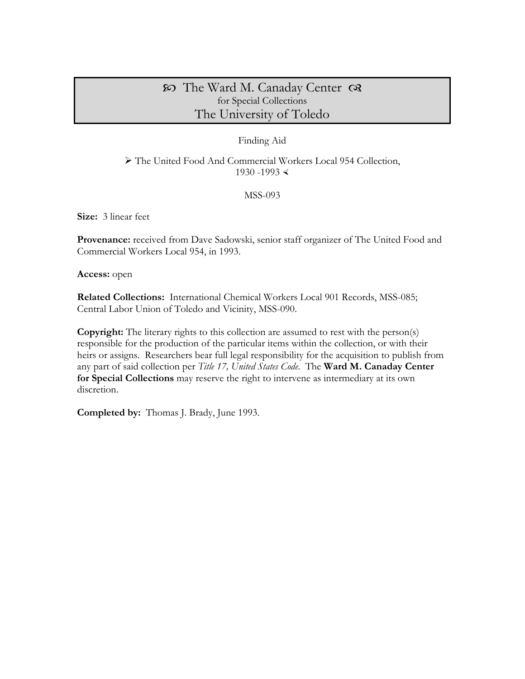# The Ward M. Canaday Center for Special Collections The University of Toledo

## Finding Aid

 The United Food And Commercial Workers Local 954 Collection, 1930 -1993  $\le$ 

MSS-093

**Size:** 3 linear feet

Provenance: received from Dave Sadowski, senior staff organizer of The United Food and Commercial Workers Local 954, in 1993.

**Access:** open

**Related Collections:** International Chemical Workers Local 901 Records, MSS-085; Central Labor Union of Toledo and Vicinity, MSS-090.

**Copyright:** The literary rights to this collection are assumed to rest with the person(s) responsible for the production of the particular items within the collection, or with their heirs or assigns. Researchers bear full legal responsibility for the acquisition to publish from any part of said collection per *Title 17, United States Code*. The **Ward M. Canaday Center for Special Collections** may reserve the right to intervene as intermediary at its own discretion.

**Completed by:** Thomas J. Brady, June 1993.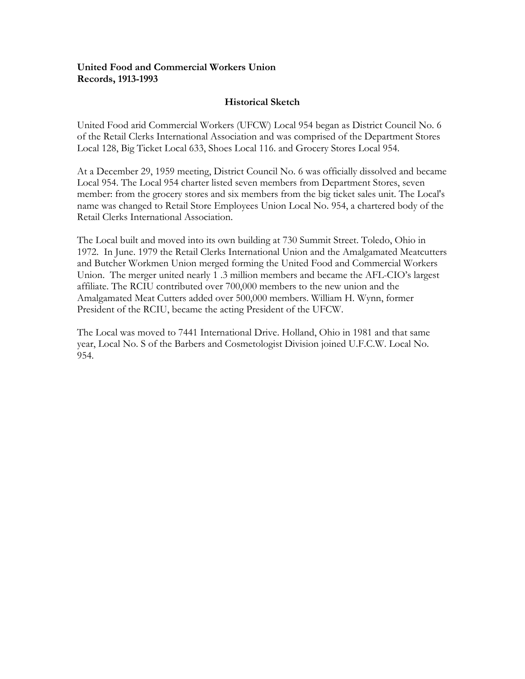## **United Food and Commercial Workers Union Records, 1913-1993**

## **Historical Sketch**

United Food arid Commercial Workers (UFCW) Local 954 began as District Council No. 6 of the Retail Clerks International Association and was comprised of the Department Stores Local 128, Big Ticket Local 633, Shoes Local 116. and Grocery Stores Local 954.

At a December 29, 1959 meeting, District Council No. 6 was officially dissolved and became Local 954. The Local 954 charter listed seven members from Department Stores, seven member: from the grocery stores and six members from the big ticket sales unit. The Local's name was changed to Retail Store Employees Union Local No. 954, a chartered body of the Retail Clerks International Association.

The Local built and moved into its own building at 730 Summit Street. Toledo, Ohio in 1972. In June. 1979 the Retail Clerks International Union and the Amalgamated Meatcutters and Butcher Workmen Union merged forming the United Food and Commercial Workers Union. The merger united nearly 1 .3 million members and became the AFL-CIO's largest affiliate. The RCIU contributed over 700,000 members to the new union and the Amalgamated Meat Cutters added over 500,000 members. William H. Wynn, former President of the RCIU, became the acting President of the UFCW.

The Local was moved to 7441 International Drive. Holland, Ohio in 1981 and that same year, Local No. S of the Barbers and Cosmetologist Division joined U.F.C.W. Local No. 954.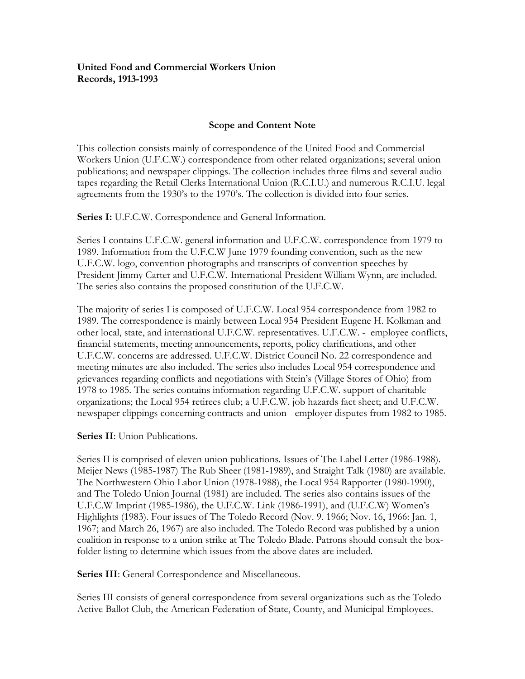## **United Food and Commercial Workers Union Records, 1913-1993**

## **Scope and Content Note**

This collection consists mainly of correspondence of the United Food and Commercial Workers Union (U.F.C.W.) correspondence from other related organizations; several union publications; and newspaper clippings. The collection includes three films and several audio tapes regarding the Retail Clerks International Union (R.C.I.U.) and numerous R.C.I.U. legal agreements from the 1930's to the 1970's. The collection is divided into four series.

**Series I:** U.F.C.W. Correspondence and General Information.

Series I contains U.F.C.W. general information and U.F.C.W. correspondence from 1979 to 1989. Information from the U.F.C.W June 1979 founding convention, such as the new U.F.C.W. logo, convention photographs and transcripts of convention speeches by President Jimmy Carter and U.F.C.W. International President William Wynn, are included. The series also contains the proposed constitution of the U.F.C.W.

The majority of series I is composed of U.F.C.W. Local 954 correspondence from 1982 to 1989. The correspondence is mainly between Local 954 President Eugene H. Kolkman and other local, state, and international U.F.C.W. representatives. U.F.C.W. - employee conflicts, financial statements, meeting announcements, reports, policy clarifications, and other U.F.C.W. concerns are addressed. U.F.C.W. District Council No. 22 correspondence and meeting minutes are also included. The series also includes Local 954 correspondence and grievances regarding conflicts and negotiations with Stein's (Village Stores of Ohio) from 1978 to 1985. The series contains information regarding U.F.C.W. support of charitable organizations; the Local 954 retirees club; a U.F.C.W. job hazards fact sheet; and U.F.C.W. newspaper clippings concerning contracts and union - employer disputes from 1982 to 1985.

### **Series II**: Union Publications.

Series II is comprised of eleven union publications. Issues of The Label Letter (1986-1988). Meijer News (1985-1987) The Rub Sheer (1981-1989), and Straight Talk (1980) are available. The Northwestern Ohio Labor Union (1978-1988), the Local 954 Rapporter (1980-1990), and The Toledo Union Journal (1981) are included. The series also contains issues of the U.F.C.W Imprint (1985-1986), the U.F.C.W. Link (1986-1991), and (U.F.C.W) Women's Highlights (1983). Four issues of The Toledo Record (Nov. 9. 1966; Nov. 16, 1966: Jan. 1, 1967; and March 26, 1967) are also included. The Toledo Record was published by a union coalition in response to a union strike at The Toledo Blade. Patrons should consult the boxfolder listing to determine which issues from the above dates are included.

**Series III**: General Correspondence and Miscellaneous.

Series III consists of general correspondence from several organizations such as the Toledo Active Ballot Club, the American Federation of State, County, and Municipal Employees.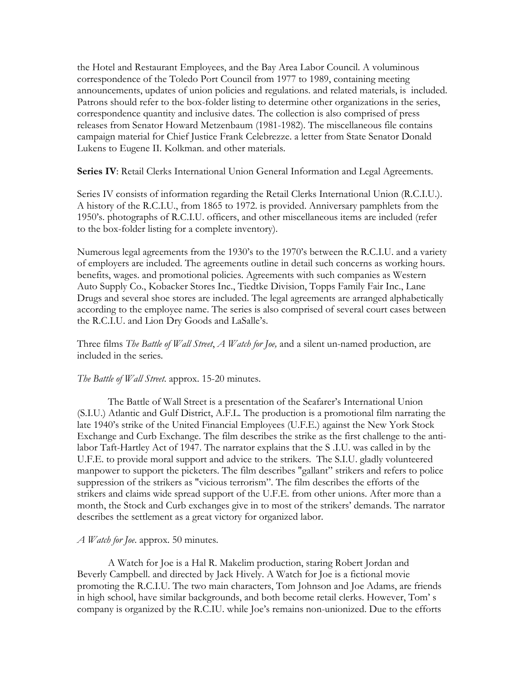the Hotel and Restaurant Employees, and the Bay Area Labor Council. A voluminous correspondence of the Toledo Port Council from 1977 to 1989, containing meeting announcements, updates of union policies and regulations. and related materials, is included. Patrons should refer to the box-folder listing to determine other organizations in the series, correspondence quantity and inclusive dates. The collection is also comprised of press releases from Senator Howard Metzenbaum (1981-1982). The miscellaneous file contains campaign material for Chief Justice Frank Celebrezze. a letter from State Senator Donald Lukens to Eugene II. Kolkman. and other materials.

**Series IV**: Retail Clerks International Union General Information and Legal Agreements.

Series IV consists of information regarding the Retail Clerks International Union (R.C.I.U.). A history of the R.C.I.U., from 1865 to 1972. is provided. Anniversary pamphlets from the 1950's. photographs of R.C.I.U. officers, and other miscellaneous items are included (refer to the box-folder listing for a complete inventory).

Numerous legal agreements from the 1930's to the 1970's between the R.C.I.U. and a variety of employers are included. The agreements outline in detail such concerns as working hours. benefits, wages. and promotional policies. Agreements with such companies as Western Auto Supply Co., Kobacker Stores Inc., Tiedtke Division, Topps Family Fair Inc., Lane Drugs and several shoe stores are included. The legal agreements are arranged alphabetically according to the employee name. The series is also comprised of several court cases between the R.C.I.U. and Lion Dry Goods and LaSalle's.

Three films *The Battle of Wall Street*, *A Watch for Joe,* and a silent un-named production, are included in the series.

### *The Battle of Wall Street*. approx. 15-20 minutes.

The Battle of Wall Street is a presentation of the Seafarer's International Union (S.I.U.) Atlantic and Gulf District, A.F.L. The production is a promotional film narrating the late 1940's strike of the United Financial Employees (U.F.E.) against the New York Stock Exchange and Curb Exchange. The film describes the strike as the first challenge to the antilabor Taft-Hartley Act of 1947. The narrator explains that the S .I.U. was called in by the U.F.E. to provide moral support and advice to the strikers. The S.I.U. gladly volunteered manpower to support the picketers. The film describes "gallant" strikers and refers to police suppression of the strikers as "vicious terrorism". The film describes the efforts of the strikers and claims wide spread support of the U.F.E. from other unions. After more than a month, the Stock and Curb exchanges give in to most of the strikers' demands. The narrator describes the settlement as a great victory for organized labor.

### *A Watch for Joe*. approx. 50 minutes.

A Watch for Joe is a Hal R. Makelim production, staring Robert Jordan and Beverly Campbell. and directed by Jack Hively. A Watch for Joe is a fictional movie promoting the R.C.I.U. The two main characters, Tom Johnson and Joe Adams, are friends in high school, have similar backgrounds, and both become retail clerks. However, Tom' s company is organized by the R.C.IU. while Joe's remains non-unionized. Due to the efforts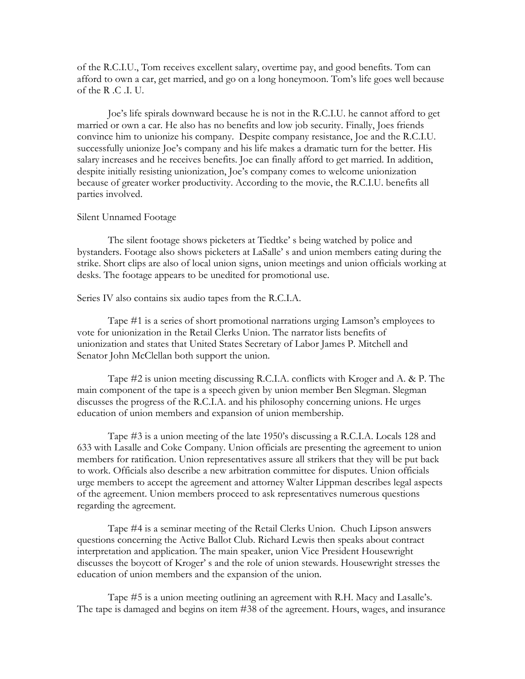of the R.C.I.U., Tom receives excellent salary, overtime pay, and good benefits. Tom can afford to own a car, get married, and go on a long honeymoon. Tom's life goes well because of the R .C .I. U.

Joe's life spirals downward because he is not in the R.C.I.U. he cannot afford to get married or own a car. He also has no benefits and low job security. Finally, Joes friends convince him to unionize his company. Despite company resistance, Joe and the R.C.I.U. successfully unionize Joe's company and his life makes a dramatic turn for the better. His salary increases and he receives benefits. Joe can finally afford to get married. In addition, despite initially resisting unionization, Joe's company comes to welcome unionization because of greater worker productivity. According to the movie, the R.C.I.U. benefits all parties involved.

#### Silent Unnamed Footage

The silent footage shows picketers at Tiedtke' s being watched by police and bystanders. Footage also shows picketers at LaSalle' s and union members eating during the strike. Short clips are also of local union signs, union meetings and union officials working at desks. The footage appears to be unedited for promotional use.

#### Series IV also contains six audio tapes from the R.C.I.A.

Tape #1 is a series of short promotional narrations urging Lamson's employees to vote for unionization in the Retail Clerks Union. The narrator lists benefits of unionization and states that United States Secretary of Labor James P. Mitchell and Senator John McClellan both support the union.

Tape #2 is union meeting discussing R.C.I.A. conflicts with Kroger and A. & P. The main component of the tape is a speech given by union member Ben Slegman. Slegman discusses the progress of the R.C.I.A. and his philosophy concerning unions. He urges education of union members and expansion of union membership.

Tape #3 is a union meeting of the late 1950's discussing a R.C.I.A. Locals 128 and 633 with Lasalle and Coke Company. Union officials are presenting the agreement to union members for ratification. Union representatives assure all strikers that they will be put back to work. Officials also describe a new arbitration committee for disputes. Union officials urge members to accept the agreement and attorney Walter Lippman describes legal aspects of the agreement. Union members proceed to ask representatives numerous questions regarding the agreement.

Tape #4 is a seminar meeting of the Retail Clerks Union. Chuch Lipson answers questions concerning the Active Ballot Club. Richard Lewis then speaks about contract interpretation and application. The main speaker, union Vice President Housewright discusses the boycott of Kroger' s and the role of union stewards. Housewright stresses the education of union members and the expansion of the union.

Tape #5 is a union meeting outlining an agreement with R.H. Macy and Lasalle's. The tape is damaged and begins on item #38 of the agreement. Hours, wages, and insurance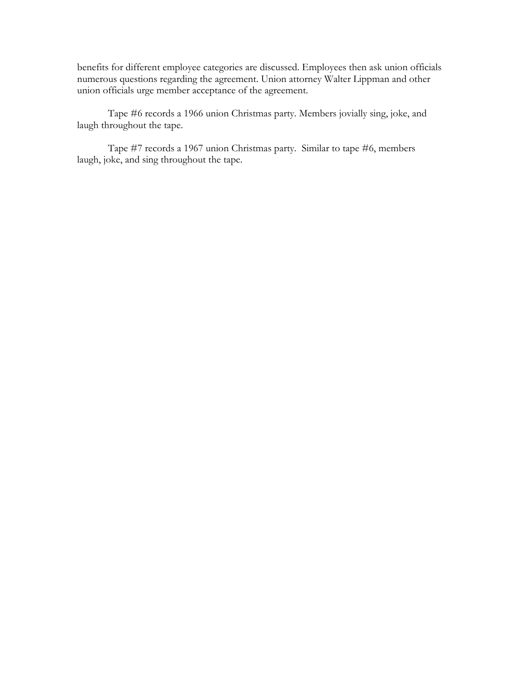benefits for different employee categories are discussed. Employees then ask union officials numerous questions regarding the agreement. Union attorney Walter Lippman and other union officials urge member acceptance of the agreement.

Tape #6 records a 1966 union Christmas party. Members jovially sing, joke, and laugh throughout the tape.

Tape #7 records a 1967 union Christmas party. Similar to tape #6, members laugh, joke, and sing throughout the tape.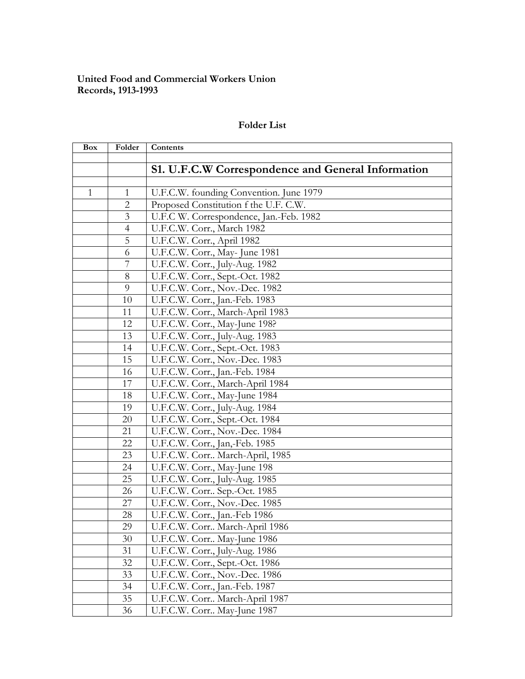## **United Food and Commercial Workers Union Records, 1913-1993**

# **Folder List**

| Box | Folder         | Contents                                                  |
|-----|----------------|-----------------------------------------------------------|
|     |                |                                                           |
|     |                | <b>S1. U.F.C.W Correspondence and General Information</b> |
|     |                |                                                           |
| 1   | 1              | U.F.C.W. founding Convention. June 1979                   |
|     | $\overline{2}$ | Proposed Constitution f the U.F. C.W.                     |
|     | $\overline{3}$ | U.F.C W. Correspondence, Jan.-Feb. 1982                   |
|     | $\overline{4}$ | U.F.C.W. Corr., March 1982                                |
|     | 5              | U.F.C.W. Corr., April 1982                                |
|     | 6              | U.F.C.W. Corr., May- June 1981                            |
|     | 7              | U.F.C.W. Corr., July-Aug. 1982                            |
|     | 8              | U.F.C.W. Corr., Sept.-Oct. 1982                           |
|     | 9              | U.F.C.W. Corr., Nov.-Dec. 1982                            |
|     | 10             | U.F.C.W. Corr., Jan.-Feb. 1983                            |
|     | 11             | U.F.C.W. Corr., March-April 1983                          |
|     | 12             | U.F.C.W. Corr., May-June 198?                             |
|     | 13             | U.F.C.W. Corr., July-Aug. 1983                            |
|     | 14             | U.F.C.W. Corr., Sept.-Oct. 1983                           |
|     | 15             | U.F.C.W. Corr., Nov.-Dec. 1983                            |
|     | 16             | U.F.C.W. Corr., Jan.-Feb. 1984                            |
|     | 17             | U.F.C.W. Corr., March-April 1984                          |
|     | 18             | U.F.C.W. Corr., May-June 1984                             |
|     | 19             | U.F.C.W. Corr., July-Aug. 1984                            |
|     | 20             | U.F.C.W. Corr., Sept.-Oct. 1984                           |
|     | 21             | U.F.C.W. Corr., Nov.-Dec. 1984                            |
|     | 22             | U.F.C.W. Corr., Jan,-Feb. 1985                            |
|     | 23             | U.F.C.W. Corr March-April, 1985                           |
|     | 24             | U.F.C.W. Corr., May-June 198                              |
|     | 25             | U.F.C.W. Corr., July-Aug. 1985                            |
|     | 26             | U.F.C.W. Corr Sep.-Oct. 1985                              |
|     | 27             | U.F.C.W. Corr., Nov.-Dec. 1985                            |
|     | 28             | U.F.C.W. Corr., Jan.-Feb 1986                             |
|     | 29             | U.F.C.W. Corr March-April 1986                            |
|     | 30             | U.F.C.W. Corr May-June 1986                               |
|     | 31             | U.F.C.W. Corr., July-Aug. 1986                            |
|     | 32             | U.F.C.W. Corr., Sept.-Oct. 1986                           |
|     | 33             | U.F.C.W. Corr., Nov.-Dec. 1986                            |
|     | 34             | U.F.C.W. Corr., Jan.-Feb. 1987                            |
|     | 35             | U.F.C.W. Corr March-April 1987                            |
|     | 36             | U.F.C.W. Corr May-June 1987                               |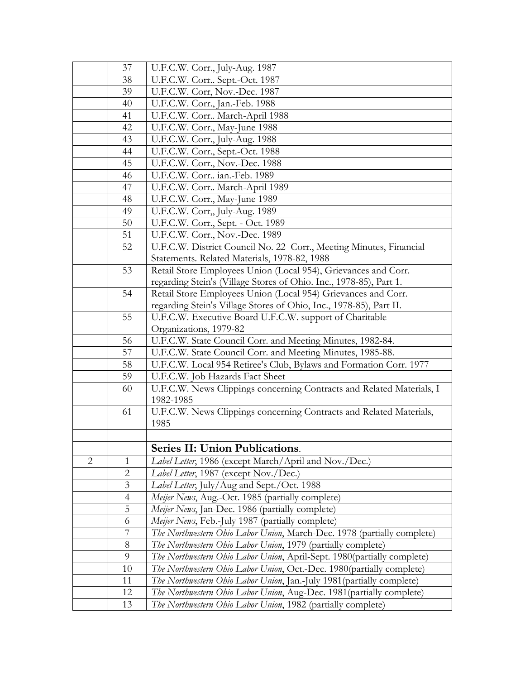|                | 37             | U.F.C.W. Corr., July-Aug. 1987                                                     |
|----------------|----------------|------------------------------------------------------------------------------------|
|                | 38             | U.F.C.W. Corr Sept.-Oct. 1987                                                      |
|                | 39             | U.F.C.W. Corr, Nov.-Dec. 1987                                                      |
|                | 40             | U.F.C.W. Corr., Jan.-Feb. 1988                                                     |
|                | 41             | U.F.C.W. Corr March-April 1988                                                     |
|                | 42             | U.F.C.W. Corr., May-June 1988                                                      |
|                | 43             | U.F.C.W. Corr., July-Aug. 1988                                                     |
|                | 44             | U.F.C.W. Corr., Sept.-Oct. 1988                                                    |
|                | 45             | U.F.C.W. Corr., Nov.-Dec. 1988                                                     |
|                | 46             | U.F.C.W. Corr ian.-Feb. 1989                                                       |
|                | 47             | U.F.C.W. Corr March-April 1989                                                     |
|                | 48             | U.F.C.W. Corr., May-June 1989                                                      |
|                | 49             | U.F.C.W. Corr,, July-Aug. 1989                                                     |
|                | 50             | U.F.C.W. Corr., Sept. - Oct. 1989                                                  |
|                | 51             | U.F.C.W. Corr., Nov.-Dec. 1989                                                     |
|                | 52             | U.F.C.W. District Council No. 22 Corr., Meeting Minutes, Financial                 |
|                |                | Statements. Related Materials, 1978-82, 1988                                       |
|                | 53             | Retail Store Employees Union (Local 954), Grievances and Corr.                     |
|                |                | regarding Stein's (Village Stores of Ohio. Inc., 1978-85), Part 1.                 |
|                | 54             | Retail Store Employees Union (Local 954) Grievances and Corr.                      |
|                |                | regarding Stein's Village Stores of Ohio, Inc., 1978-85), Part II.                 |
|                | 55             | U.F.C.W. Executive Board U.F.C.W. support of Charitable                            |
|                |                | Organizations, 1979-82                                                             |
|                | 56             | U.F.C.W. State Council Corr. and Meeting Minutes, 1982-84.                         |
|                | 57             | U.F.C.W. State Council Corr. and Meeting Minutes, 1985-88.                         |
|                | 58             | U.F.C.W. Local 954 Retiree's Club, Bylaws and Formation Corr. 1977                 |
|                | 59             | U.F.C.W. Job Hazards Fact Sheet                                                    |
|                | 60             | U.F.C.W. News Clippings concerning Contracts and Related Materials, I<br>1982-1985 |
|                | 61             | U.F.C.W. News Clippings concerning Contracts and Related Materials,                |
|                |                | 1985                                                                               |
|                |                |                                                                                    |
|                |                | Series II: Union Publications.                                                     |
| $\overline{2}$ | 1              | Label Letter, 1986 (except March/April and Nov./Dec.)                              |
|                | $\overline{2}$ | Label Letter, 1987 (except Nov./Dec.)                                              |
|                | 3              | Label Letter, July/Aug and Sept./Oct. 1988                                         |
|                | 4              | Meijer News, Aug.-Oct. 1985 (partially complete)                                   |
|                | 5              | Meijer News, Jan-Dec. 1986 (partially complete)                                    |
|                | 6              | Meijer News, Feb.-July 1987 (partially complete)                                   |
|                | 7              | The Northwestern Ohio Labor Union, March-Dec. 1978 (partially complete)            |
|                | 8              | The Northwestern Ohio Labor Union, 1979 (partially complete)                       |
|                | 9              | The Northwestern Ohio Labor Union, April-Sept. 1980(partially complete)            |
|                | 10             | The Northwestern Ohio Labor Union, Oct.-Dec. 1980(partially complete)              |
|                | 11             | <i>The Northwestern Ohio Labor Union</i> , Jan.-July 1981 (partially complete)     |
|                | 12             | The Northwestern Ohio Labor Union, Aug-Dec. 1981 (partially complete)              |
|                | 13             | The Northwestern Ohio Labor Union, 1982 (partially complete)                       |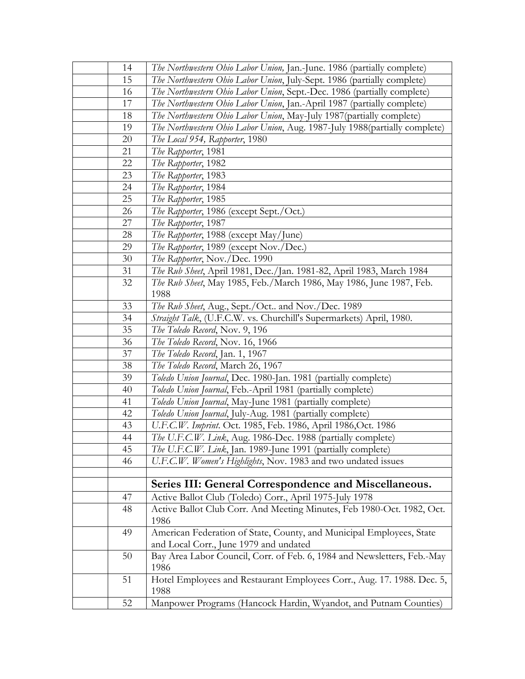| 14 | <i>The Northwestern Ohio Labor Union</i> , Jan.-June. 1986 (partially complete) |
|----|---------------------------------------------------------------------------------|
| 15 | The Northwestern Ohio Labor Union, July-Sept. 1986 (partially complete)         |
| 16 | The Northwestern Ohio Labor Union, Sept.-Dec. 1986 (partially complete)         |
| 17 | The Northwestern Ohio Labor Union, Jan.-April 1987 (partially complete)         |
| 18 | The Northwestern Ohio Labor Union, May-July 1987 (partially complete)           |
| 19 | The Northwestern Ohio Labor Union, Aug. 1987-July 1988(partially complete)      |
| 20 | The Local 954, Rapporter, 1980                                                  |
| 21 | The Rapporter, 1981                                                             |
| 22 | The Rapporter, 1982                                                             |
| 23 | The Rapporter, 1983                                                             |
| 24 | The Rapporter, 1984                                                             |
| 25 | The Rapporter, 1985                                                             |
| 26 | <i>The Rapporter</i> , 1986 (except Sept./Oct.)                                 |
| 27 | The Rapporter, 1987                                                             |
| 28 | <i>The Rapporter</i> , 1988 (except May/June)                                   |
| 29 | The Rapporter, 1989 (except Nov./Dec.)                                          |
| 30 | The Rapporter, Nov./Dec. 1990                                                   |
| 31 | The Rub Sheet, April 1981, Dec./Jan. 1981-82, April 1983, March 1984            |
| 32 | The Rub Sheet, May 1985, Feb./March 1986, May 1986, June 1987, Feb.             |
|    | 1988                                                                            |
| 33 | The Rub Sheet, Aug., Sept./Oct and Nov./Dec. 1989                               |
| 34 | Straight Talk, (U.F.C.W. vs. Churchill's Supermarkets) April, 1980.             |
| 35 | The Toledo Record, Nov. 9, 196                                                  |
| 36 | The Toledo Record, Nov. 16, 1966                                                |
| 37 | The Toledo Record, Jan. 1, 1967                                                 |
| 38 | The Toledo Record, March 26, 1967                                               |
| 39 | Toledo Union Journal, Dec. 1980-Jan. 1981 (partially complete)                  |
| 40 | Toledo Union Journal, Feb.-April 1981 (partially complete)                      |
| 41 | Toledo Union Journal, May-June 1981 (partially complete)                        |
| 42 | Toledo Union Journal, July-Aug. 1981 (partially complete)                       |
| 43 | U.F.C.W. Imprint. Oct. 1985, Feb. 1986, April 1986, Oct. 1986                   |
| 44 | The U.F.C.W. Link, Aug. 1986-Dec. 1988 (partially complete)                     |
| 45 | The U.F.C.W. Link, Jan. 1989-June 1991 (partially complete)                     |
| 46 | U.F.C.W. Women's Highlights, Nov. 1983 and two undated issues                   |
|    |                                                                                 |
|    | Series III: General Correspondence and Miscellaneous.                           |
| 47 | Active Ballot Club (Toledo) Corr., April 1975-July 1978                         |
| 48 | Active Ballot Club Corr. And Meeting Minutes, Feb 1980-Oct. 1982, Oct.          |
|    | 1986                                                                            |
| 49 | American Federation of State, County, and Municipal Employees, State            |
|    | and Local Corr., June 1979 and undated                                          |
| 50 | Bay Area Labor Council, Corr. of Feb. 6, 1984 and Newsletters, Feb.-May         |
|    | 1986                                                                            |
| 51 | Hotel Employees and Restaurant Employees Corr., Aug. 17. 1988. Dec. 5,          |
|    | 1988                                                                            |
| 52 | Manpower Programs (Hancock Hardin, Wyandot, and Putnam Counties)                |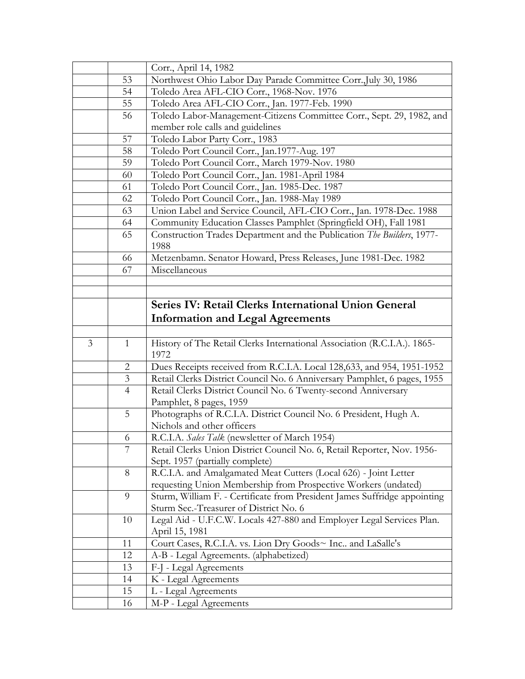|                |                | Corr., April 14, 1982                                                            |
|----------------|----------------|----------------------------------------------------------------------------------|
|                | 53             | Northwest Ohio Labor Day Parade Committee Corr., July 30, 1986                   |
|                | 54             | Toledo Area AFL-CIO Corr., 1968-Nov. 1976                                        |
|                | 55             | Toledo Area AFL-CIO Corr., Jan. 1977-Feb. 1990                                   |
|                | 56             | Toledo Labor-Management-Citizens Committee Corr., Sept. 29, 1982, and            |
|                |                | member role calls and guidelines                                                 |
|                | 57             | Toledo Labor Party Corr., 1983                                                   |
|                | 58             | Toledo Port Council Corr., Jan.1977-Aug. 197                                     |
|                | 59             | Toledo Port Council Corr., March 1979-Nov. 1980                                  |
|                | 60             | Toledo Port Council Corr., Jan. 1981-April 1984                                  |
|                | 61             | Toledo Port Council Corr., Jan. 1985-Dec. 1987                                   |
|                | 62             | Toledo Port Council Corr., Jan. 1988-May 1989                                    |
|                | 63             | Union Label and Service Council, AFL-CIO Corr., Jan. 1978-Dec. 1988              |
|                | 64             | Community Education Classes Pamphlet (Springfield OH), Fall 1981                 |
|                | 65             | Construction Trades Department and the Publication The Builders, 1977-           |
|                |                | 1988                                                                             |
|                | 66             | Metzenbamn. Senator Howard, Press Releases, June 1981-Dec. 1982                  |
|                | 67             | Miscellaneous                                                                    |
|                |                |                                                                                  |
|                |                |                                                                                  |
|                |                | Series IV: Retail Clerks International Union General                             |
|                |                | <b>Information and Legal Agreements</b>                                          |
|                |                |                                                                                  |
|                |                |                                                                                  |
| $\overline{3}$ | $\mathbf{1}$   | History of The Retail Clerks International Association (R.C.I.A.). 1865-<br>1972 |
|                | 2              | Dues Receipts received from R.C.I.A. Local 128,633, and 954, 1951-1952           |
|                | 3              | Retail Clerks District Council No. 6 Anniversary Pamphlet, 6 pages, 1955         |
|                | $\overline{4}$ | Retail Clerks District Council No. 6 Twenty-second Anniversary                   |
|                |                | Pamphlet, 8 pages, 1959                                                          |
|                | 5              | Photographs of R.C.I.A. District Council No. 6 President, Hugh A.                |
|                |                | Nichols and other officers                                                       |
|                | 6              | R.C.I.A. Sales Talk (newsletter of March 1954)                                   |
|                | 7              | Retail Clerks Union District Council No. 6, Retail Reporter, Nov. 1956-          |
|                |                | Sept. 1957 (partially complete)                                                  |
|                | 8              | R.C.I.A. and Amalgamated Meat Cutters (Local 626) - Joint Letter                 |
|                |                | requesting Union Membership from Prospective Workers (undated)                   |
|                | 9              | Sturm, William F. - Certificate from President James Suffridge appointing        |
|                |                | Sturm Sec.-Treasurer of District No. 6                                           |
|                | 10             | Legal Aid - U.F.C.W. Locals 427-880 and Employer Legal Services Plan.            |
|                |                | April 15, 1981                                                                   |
|                | 11             | Court Cases, R.C.I.A. vs. Lion Dry Goods~ Inc and LaSalle's                      |
|                | 12             | A-B - Legal Agreements. (alphabetized)                                           |
|                | 13             | F-J - Legal Agreements                                                           |
|                | 14             | K - Legal Agreements                                                             |
|                | 15             | L - Legal Agreements                                                             |